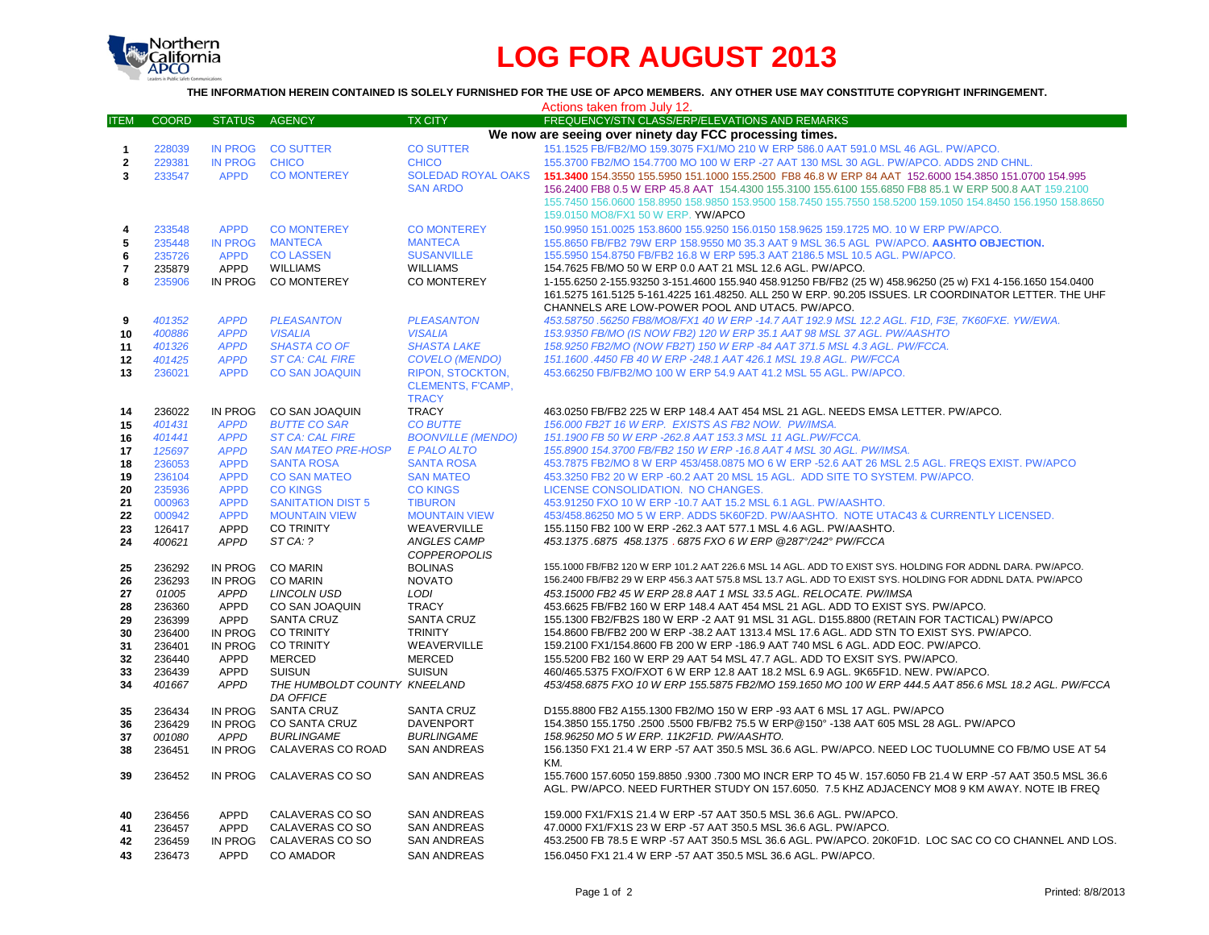

## **LOG FOR AUGUST 2013**

**THE INFORMATION HEREIN CONTAINED IS SOLELY FURNISHED FOR THE USE OF APCO MEMBERS. ANY OTHER USE MAY CONSTITUTE COPYRIGHT INFRINGEMENT.**

|              | Actions taken from July 12. |                     |                                     |                                   |                                                                                                                                                                                                                      |  |  |  |  |  |
|--------------|-----------------------------|---------------------|-------------------------------------|-----------------------------------|----------------------------------------------------------------------------------------------------------------------------------------------------------------------------------------------------------------------|--|--|--|--|--|
| ITEM         | <b>COORD</b>                | <b>STATUS</b>       | <b>AGENCY</b>                       | <b>TX CITY</b>                    | FREQUENCY/STN CLASS/ERP/ELEVATIONS AND REMARKS                                                                                                                                                                       |  |  |  |  |  |
|              |                             |                     |                                     |                                   | We now are seeing over ninety day FCC processing times.                                                                                                                                                              |  |  |  |  |  |
| $\mathbf{1}$ | 228039                      |                     | IN PROG CO SUTTER                   | <b>CO SUTTER</b>                  | 151.1525 FB/FB2/MO 159.3075 FX1/MO 210 W ERP 586.0 AAT 591.0 MSL 46 AGL. PW/APCO.                                                                                                                                    |  |  |  |  |  |
| $\mathbf{2}$ | 229381                      | <b>IN PROG</b>      | <b>CHICO</b>                        | <b>CHICO</b>                      | 155.3700 FB2/MO 154.7700 MO 100 W ERP -27 AAT 130 MSL 30 AGL, PW/APCO, ADDS 2ND CHNL.                                                                                                                                |  |  |  |  |  |
| 3            | 233547                      | <b>APPD</b>         | <b>CO MONTEREY</b>                  | <b>SOLEDAD ROYAL OAKS</b>         | 151.3400 154.3550 155.5950 151.1000 155.2500 FB8 46.8 W ERP 84 AAT 152.6000 154.3850 151.0700 154.995                                                                                                                |  |  |  |  |  |
|              |                             |                     |                                     | <b>SAN ARDO</b>                   | 156.2400 FB8 0.5 W ERP 45.8 AAT 154.4300 155.3100 155.6100 155.6850 FB8 85.1 W ERP 500.8 AAT 159.2100                                                                                                                |  |  |  |  |  |
|              |                             |                     |                                     |                                   | 155.7450 156.0600 158.8950 158.9850 153.9500 158.7450 155.7550 158.5200 159.1050 154.8450 156.1950 158.8650                                                                                                          |  |  |  |  |  |
|              |                             |                     |                                     |                                   | 159.0150 MO8/FX1 50 W ERP. YW/APCO                                                                                                                                                                                   |  |  |  |  |  |
| 4            | 233548                      | <b>APPD</b>         | <b>CO MONTEREY</b>                  | <b>CO MONTEREY</b>                | 150,9950 151,0025 153,8600 155,9250 156,0150 158,9625 159,1725 MO, 10 W ERP PW/APCO,                                                                                                                                 |  |  |  |  |  |
| 5            | 235448                      | <b>IN PROG</b>      | <b>MANTECA</b>                      | <b>MANTECA</b>                    | 155.8650 FB/FB2 79W ERP 158.9550 M0 35.3 AAT 9 MSL 36.5 AGL PW/APCO. AASHTO OBJECTION.                                                                                                                               |  |  |  |  |  |
| $\bf 6$      | 235726                      | <b>APPD</b>         | <b>CO LASSEN</b>                    | <b>SUSANVILLE</b>                 | 155.5950 154.8750 FB/FB2 16.8 W ERP 595.3 AAT 2186.5 MSL 10.5 AGL. PW/APCO.                                                                                                                                          |  |  |  |  |  |
| 7            | 235879                      | <b>APPD</b>         | <b>WILLIAMS</b>                     | <b>WILLIAMS</b>                   | 154.7625 FB/MO 50 W ERP 0.0 AAT 21 MSL 12.6 AGL, PW/APCO.                                                                                                                                                            |  |  |  |  |  |
| 8            | 235906                      |                     | IN PROG CO MONTEREY                 | <b>CO MONTEREY</b>                | 1-155.6250 2-155.93250 3-151.4600 155.940 458.91250 FB/FB2 (25 W) 458.96250 (25 w) FX1 4-156.1650 154.0400                                                                                                           |  |  |  |  |  |
|              |                             |                     |                                     |                                   | 161.5275 161.5125 5-161.4225 161.48250. ALL 250 W ERP. 90.205 ISSUES. LR COORDINATOR LETTER. THE UHF                                                                                                                 |  |  |  |  |  |
|              |                             |                     |                                     |                                   | CHANNELS ARE LOW-POWER POOL AND UTAC5. PW/APCO.                                                                                                                                                                      |  |  |  |  |  |
| 9            | 401352                      | <b>APPD</b>         | <b>PLEASANTON</b>                   | <b>PLEASANTON</b>                 | 453.58750 .56250 FB8/MO8/FX1 40 W ERP -14.7 AAT 192.9 MSL 12.2 AGL. F1D, F3E, 7K60FXE. YW/EWA.                                                                                                                       |  |  |  |  |  |
| 10           | 400886                      | <b>APPD</b>         | <b>VISALIA</b>                      | <b>VISALIA</b>                    | 153.9350 FB/MO (IS NOW FB2) 120 W ERP 35.1 AAT 98 MSL 37 AGL. PW/AASHTO                                                                                                                                              |  |  |  |  |  |
| 11           | 401326                      | <b>APPD</b>         | <b>SHASTA CO OF</b>                 | <b>SHASTA LAKE</b>                | 158.9250 FB2/MO (NOW FB2T) 150 W ERP -84 AAT 371.5 MSL 4.3 AGL. PW/FCCA.                                                                                                                                             |  |  |  |  |  |
| 12           | 401425                      | <b>APPD</b>         | <b>ST CA: CAL FIRE</b>              | <b>COVELO (MENDO)</b>             | 151.1600 .4450 FB 40 W ERP -248.1 AAT 426.1 MSL 19.8 AGL. PW/FCCA                                                                                                                                                    |  |  |  |  |  |
| 13           | 236021                      | <b>APPD</b>         | <b>CO SAN JOAQUIN</b>               | <b>RIPON, STOCKTON.</b>           | 453,66250 FB/FB2/MO 100 W ERP 54.9 AAT 41.2 MSL 55 AGL, PW/APCO.                                                                                                                                                     |  |  |  |  |  |
|              |                             |                     |                                     | <b>CLEMENTS, F'CAMP,</b>          |                                                                                                                                                                                                                      |  |  |  |  |  |
|              |                             |                     |                                     |                                   |                                                                                                                                                                                                                      |  |  |  |  |  |
| 14           | 236022                      | IN PROG             | CO SAN JOAQUIN                      | <b>TRACY</b>                      | 463.0250 FB/FB2 225 W ERP 148.4 AAT 454 MSL 21 AGL. NEEDS EMSA LETTER. PW/APCO.                                                                                                                                      |  |  |  |  |  |
| 15           | 401431                      | <b>APPD</b>         | <b>BUTTE CO SAR</b>                 | <b>CO BUTTE</b>                   | 156.000 FB2T 16 W ERP. EXISTS AS FB2 NOW. PW/IMSA.                                                                                                                                                                   |  |  |  |  |  |
| 16           | 401441                      | <b>APPD</b>         | <b>ST CA: CAL FIRE</b>              | <b>BOONVILLE (MENDO)</b>          | 151.1900 FB 50 W ERP -262.8 AAT 153.3 MSL 11 AGL.PW/FCCA.                                                                                                                                                            |  |  |  |  |  |
| 17           | 125697                      | <b>APPD</b>         | <b>SAN MATEO PRE-HOSP</b>           | E PALO ALTO                       | 155.8900 154.3700 FB/FB2 150 W ERP -16.8 AAT 4 MSL 30 AGL. PW/IMSA.                                                                                                                                                  |  |  |  |  |  |
| 18           | 236053                      | <b>APPD</b>         | <b>SANTA ROSA</b>                   | <b>SANTA ROSA</b>                 | 453.7875 FB2/MO 8 W ERP 453/458.0875 MO 6 W ERP -52.6 AAT 26 MSL 2.5 AGL. FREQS EXIST. PW/APCO                                                                                                                       |  |  |  |  |  |
| 19           | 236104                      | <b>APPD</b>         | <b>CO SAN MATEO</b>                 | <b>SAN MATEO</b>                  | 453.3250 FB2 20 W ERP -60.2 AAT 20 MSL 15 AGL. ADD SITE TO SYSTEM. PW/APCO.                                                                                                                                          |  |  |  |  |  |
| 20           | 235936                      | <b>APPD</b>         | <b>CO KINGS</b>                     | <b>CO KINGS</b>                   | LICENSE CONSOLIDATION. NO CHANGES.                                                                                                                                                                                   |  |  |  |  |  |
| 21           | 000963                      | <b>APPD</b>         | <b>SANITATION DIST 5</b>            | <b>TIBURON</b>                    | 453.91250 FXO 10 W ERP -10.7 AAT 15.2 MSL 6.1 AGL. PW/AASHTO.                                                                                                                                                        |  |  |  |  |  |
| 22           | 000942                      | <b>APPD</b>         | <b>MOUNTAIN VIEW</b>                | <b>MOUNTAIN VIEW</b>              | 453/458.86250 MO 5 W ERP. ADDS 5K60F2D. PW/AASHTO. NOTE UTAC43 & CURRENTLY LICENSED.                                                                                                                                 |  |  |  |  |  |
| 23           | 126417                      | <b>APPD</b>         | <b>CO TRINITY</b>                   | WEAVERVILLE                       | 155.1150 FB2 100 W ERP - 262.3 AAT 577.1 MSL 4.6 AGL. PW/AASHTO.                                                                                                                                                     |  |  |  |  |  |
| 24           | 400621                      | <b>APPD</b>         | ST CA: ?                            | <b>ANGLES CAMP</b>                | 453.1375.6875 458.1375 .6875 FXO 6 W ERP @287°/242° PW/FCCA                                                                                                                                                          |  |  |  |  |  |
|              | <b>COPPEROPOLIS</b>         |                     |                                     |                                   |                                                                                                                                                                                                                      |  |  |  |  |  |
| 25           | 236292                      | IN PROG             | <b>CO MARIN</b>                     | <b>BOLINAS</b>                    | 155.1000 FB/FB2 120 W ERP 101.2 AAT 226.6 MSL 14 AGL. ADD TO EXIST SYS. HOLDING FOR ADDNL DARA. PW/APCO.<br>156.2400 FB/FB2 29 W ERP 456.3 AAT 575.8 MSL 13.7 AGL. ADD TO EXIST SYS. HOLDING FOR ADDNL DATA. PW/APCO |  |  |  |  |  |
| 26           | 236293                      | IN PROG             | <b>CO MARIN</b>                     | <b>NOVATO</b>                     |                                                                                                                                                                                                                      |  |  |  |  |  |
| 27           | 01005                       | APPD<br><b>APPD</b> | <b>LINCOLN USD</b>                  | LODI                              | 453.15000 FB2 45 W ERP 28.8 AAT 1 MSL 33.5 AGL. RELOCATE. PW/IMSA                                                                                                                                                    |  |  |  |  |  |
| 28           | 236360<br>236399            | <b>APPD</b>         | CO SAN JOAQUIN<br><b>SANTA CRUZ</b> | <b>TRACY</b><br><b>SANTA CRUZ</b> | 453.6625 FB/FB2 160 W ERP 148.4 AAT 454 MSL 21 AGL. ADD TO EXIST SYS. PW/APCO.<br>155.1300 FB2/FB2S 180 W ERP -2 AAT 91 MSL 31 AGL. D155.8800 (RETAIN FOR TACTICAL) PW/APCO                                          |  |  |  |  |  |
| 29<br>30     | 236400                      | IN PROG             | <b>CO TRINITY</b>                   | <b>TRINITY</b>                    | 154.8600 FB/FB2 200 W ERP -38.2 AAT 1313.4 MSL 17.6 AGL. ADD STN TO EXIST SYS. PW/APCO.                                                                                                                              |  |  |  |  |  |
| 31           | 236401                      | IN PROG             | <b>CO TRINITY</b>                   | WEAVERVILLE                       | 159.2100 FX1/154.8600 FB 200 W ERP -186.9 AAT 740 MSL 6 AGL. ADD EOC. PW/APCO.                                                                                                                                       |  |  |  |  |  |
| 32           | 236440                      | APPD                | <b>MERCED</b>                       | <b>MERCED</b>                     | 155.5200 FB2 160 W ERP 29 AAT 54 MSL 47.7 AGL. ADD TO EXSIT SYS. PW/APCO.                                                                                                                                            |  |  |  |  |  |
| 33           | 236439                      | <b>APPD</b>         | <b>SUISUN</b>                       | <b>SUISUN</b>                     | 460/465.5375 FXO/FXOT 6 W ERP 12.8 AAT 18.2 MSL 6.9 AGL. 9K65F1D. NEW. PW/APCO.                                                                                                                                      |  |  |  |  |  |
| 34           | 401667                      | <b>APPD</b>         | THE HUMBOLDT COUNTY KNEELAND        |                                   | 453/458.6875 FXO 10 W ERP 155.5875 FB2/MO 159.1650 MO 100 W ERP 444.5 AAT 856.6 MSL 18.2 AGL. PW/FCCA                                                                                                                |  |  |  |  |  |
|              |                             |                     | <b>DA OFFICE</b>                    |                                   |                                                                                                                                                                                                                      |  |  |  |  |  |
| 35           | 236434                      | IN PROG             | <b>SANTA CRUZ</b>                   | <b>SANTA CRUZ</b>                 | D155.8800 FB2 A155.1300 FB2/MO 150 W ERP -93 AAT 6 MSL 17 AGL. PW/APCO                                                                                                                                               |  |  |  |  |  |
| 36           | 236429                      | IN PROG             | CO SANTA CRUZ                       | <b>DAVENPORT</b>                  | 154.3850 155.1750 .2500 .5500 FB/FB2 75.5 W ERP@150° -138 AAT 605 MSL 28 AGL. PW/APCO                                                                                                                                |  |  |  |  |  |
| 37           | 001080                      | APPD                | <b>BURLINGAME</b>                   | <b>BURLINGAME</b>                 | 158.96250 MO 5 W ERP. 11K2F1D. PW/AASHTO.                                                                                                                                                                            |  |  |  |  |  |
| 38           | 236451                      | IN PROG             | CALAVERAS CO ROAD                   | <b>SAN ANDREAS</b>                | 156.1350 FX1 21.4 W ERP -57 AAT 350.5 MSL 36.6 AGL. PW/APCO. NEED LOC TUOLUMNE CO FB/MO USE AT 54                                                                                                                    |  |  |  |  |  |
|              |                             |                     |                                     |                                   | KM.                                                                                                                                                                                                                  |  |  |  |  |  |
| 39           | 236452                      | IN PROG             | CALAVERAS CO SO                     | <b>SAN ANDREAS</b>                | 155.7600 157.6050 159.8850 .9300 .7300 MO INCR ERP TO 45 W. 157.6050 FB 21.4 W ERP -57 AAT 350.5 MSL 36.6                                                                                                            |  |  |  |  |  |
|              |                             |                     |                                     |                                   | AGL. PW/APCO. NEED FURTHER STUDY ON 157.6050. 7.5 KHZ ADJACENCY MO8 9 KM AWAY. NOTE IB FREQ                                                                                                                          |  |  |  |  |  |
| 40           | 236456                      | <b>APPD</b>         | CALAVERAS CO SO                     | <b>SAN ANDREAS</b>                | 159.000 FX1/FX1S 21.4 W ERP -57 AAT 350.5 MSL 36.6 AGL. PW/APCO.                                                                                                                                                     |  |  |  |  |  |
| 41           | 236457                      | <b>APPD</b>         | CALAVERAS CO SO                     | <b>SAN ANDREAS</b>                | 47.0000 FX1/FX1S 23 W ERP -57 AAT 350.5 MSL 36.6 AGL. PW/APCO.                                                                                                                                                       |  |  |  |  |  |
| 42           | 236459                      | IN PROG             | CALAVERAS CO SO                     | <b>SAN ANDREAS</b>                | 453.2500 FB 78.5 E WRP -57 AAT 350.5 MSL 36.6 AGL. PW/APCO. 20K0F1D. LOC SAC CO CO CHANNEL AND LOS.                                                                                                                  |  |  |  |  |  |
| 43           | 236473                      | APPD                | <b>CO AMADOR</b>                    | <b>SAN ANDREAS</b>                | 156.0450 FX1 21.4 W ERP -57 AAT 350.5 MSL 36.6 AGL. PW/APCO.                                                                                                                                                         |  |  |  |  |  |